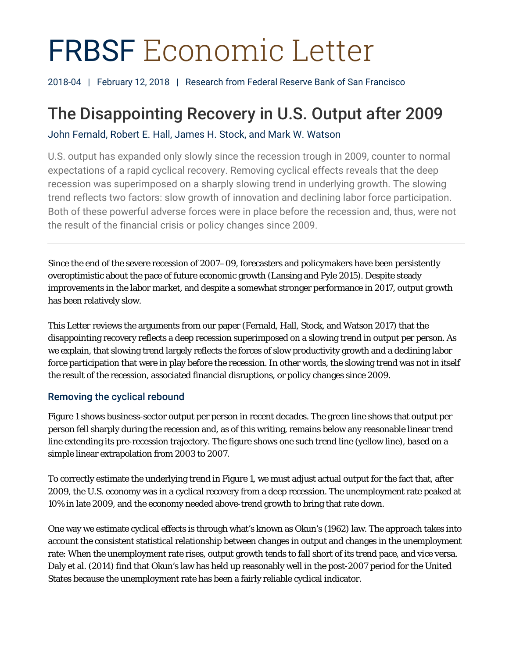# FRBSF Economic Letter

2018-04 | February 12, 2018 | Research from Federal Reserve Bank of San Francisco

# The Disappointing Recovery in U.S. Output after 2009

John Fernald, Robert E. Hall, James H. Stock, and Mark W. Watson

U.S. output has expanded only slowly since the recession trough in 2009, counter to normal expectations of a rapid cyclical recovery. Removing cyclical effects reveals that the deep recession was superimposed on a sharply slowing trend in underlying growth. The slowing trend reflects two factors: slow growth of innovation and declining labor force participation. Both of these powerful adverse forces were in place before the recession and, thus, were not the result of the financial crisis or policy changes since 2009.

Since the end of the severe recession of 2007–09, forecasters and policymakers have been persistently overoptimistic about the pace of future economic growth (Lansing and Pyle 2015). Despite steady improvements in the labor market, and despite a somewhat stronger performance in 2017, output growth has been relatively slow.

This *Letter* reviews the arguments from our paper (Fernald, Hall, Stock, and Watson 2017) that the disappointing recovery reflects a deep recession superimposed on a slowing trend in output per person. As we explain, that slowing trend largely reflects the forces of slow productivity growth and a declining labor force participation that were in play *before* the recession. In other words, the slowing trend was not in itself the result of the recession, associated financial disruptions, or policy changes since 2009.

# Removing the cyclical rebound

Figure 1 shows business-sector output per person in recent decades. The green line shows that output per person fell sharply during the recession and, as of this writing, remains below any reasonable linear trend line extending its pre-recession trajectory. The figure shows one such trend line (yellow line), based on a simple linear extrapolation from 2003 to 2007.

To correctly estimate the underlying trend in Figure 1, we must adjust actual output for the fact that, after 2009, the U.S. economy was in a cyclical recovery from a deep recession. The unemployment rate peaked at 10% in late 2009, and the economy needed above-trend growth to bring that rate down.

One way we estimate cyclical effects is through what's known as Okun's (1962) law. The approach takes into account the consistent statistical relationship between changes in output and changes in the unemployment rate: When the unemployment rate rises, output growth tends to fall short of its trend pace, and vice versa. Daly et al. (2014) find that Okun's law has held up reasonably well in the post-2007 period for the United States because the unemployment rate has been a fairly reliable cyclical indicator.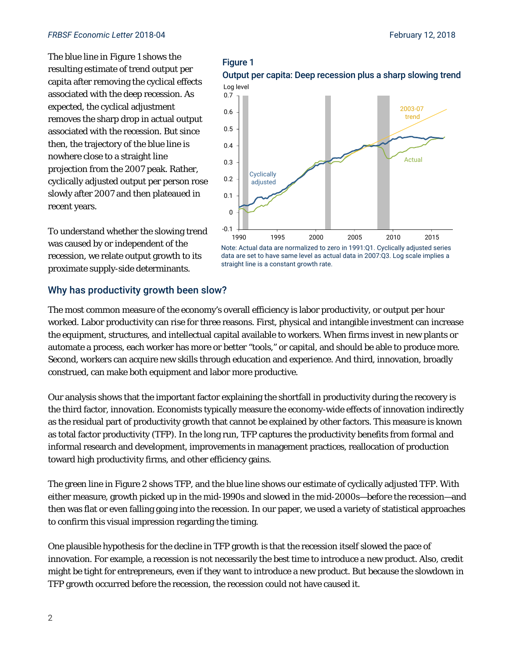The blue line in Figure 1 shows the resulting estimate of trend output per capita after removing the cyclical effects associated with the deep recession. As expected, the cyclical adjustment removes the sharp drop in actual output associated with the recession. But since then, the trajectory of the blue line is nowhere close to a straight line projection from the 2007 peak. Rather, cyclically adjusted output per person rose slowly after 2007 and then plateaued in recent years.

To understand whether the slowing trend was caused by or independent of the recession, we relate output growth to its proximate supply-side determinants.

### Why has productivity growth been slow?

-0.1 0

The most common measure of the economy's overall efficiency is labor productivity, or output per hour worked. Labor productivity can rise for three reasons. First, physical and intangible investment can increase the equipment, structures, and intellectual capital available to workers. When firms invest in new plants or automate a process, each worker has more or better "tools," or capital, and should be able to produce more. Second, workers can acquire new skills through education and experience. And third, innovation, broadly construed, can make both equipment and labor more productive.

straight line is a constant growth rate.

Our analysis shows that the important factor explaining the shortfall in productivity during the recovery is the third factor, innovation. Economists typically measure the economy-wide effects of innovation indirectly as the residual part of productivity growth that cannot be explained by other factors. This measure is known as total factor productivity (TFP). In the long run, TFP captures the productivity benefits from formal and informal research and development, improvements in management practices, reallocation of production toward high productivity firms, and other efficiency gains.

The green line in Figure 2 shows TFP, and the blue line shows our estimate of cyclically adjusted TFP. With either measure, growth picked up in the mid-1990s and slowed in the mid-2000s—*before* the recession—and then was flat or even falling going into the recession. In our paper, we used a variety of statistical approaches to confirm this visual impression regarding the timing.

One plausible hypothesis for the decline in TFP growth is that the recession itself slowed the pace of innovation. For example, a recession is not necessarily the best time to introduce a new product. Also, credit might be tight for entrepreneurs, even if they want to introduce a new product. But because the slowdown in TFP growth occurred before the recession, the recession could not have caused it.

# Figure 1 Output per capita: Deep recession plus a sharp slowing trend



data are set to have same level as actual data in 2007:Q3. Log scale implies a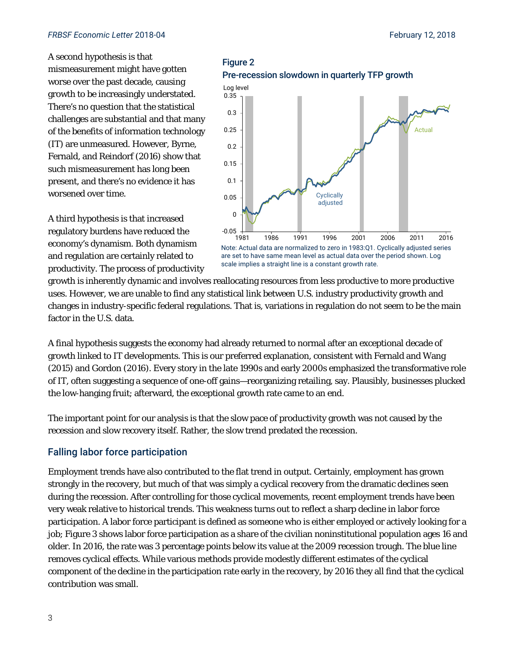#### *FRBSF Economic Letter* 2018-04 February 12, 2018

A second hypothesis is that mismeasurement might have gotten worse over the past decade, causing growth to be increasingly understated. There's no question that the statistical challenges are substantial and that many of the benefits of information technology (IT) are unmeasured. However, Byrne, Fernald, and Reindorf (2016) show that such mismeasurement has long been present, and there's no evidence it has worsened over time.

A third hypothesis is that increased regulatory burdens have reduced the economy's dynamism. Both dynamism and regulation are certainly related to productivity. The process of productivity

factor in the U.S. data.

# growth is inherently dynamic and involves reallocating resources from less productive to more productive uses. However, we are unable to find any statistical link between U.S. industry productivity growth and changes in industry-specific federal regulations. That is, variations in regulation do not seem to be the main scale implies a straight line is a constant growth rate.

A final hypothesis suggests the economy had already returned to normal after an exceptional decade of growth linked to IT developments. This is our preferred explanation, consistent with Fernald and Wang (2015) and Gordon (2016). Every story in the late 1990s and early 2000s emphasized the transformative role of IT, often suggesting a sequence of one-off gains—reorganizing retailing, say. Plausibly, businesses plucked the low-hanging fruit; afterward, the exceptional growth rate came to an end.

The important point for our analysis is that the slow pace of productivity growth was not caused by the recession and slow recovery itself. Rather, the slow trend predated the recession.

## Falling labor force participation

Employment trends have also contributed to the flat trend in output. Certainly, employment has grown strongly in the recovery, but much of that was simply a cyclical recovery from the dramatic declines seen during the recession. After controlling for those cyclical movements, recent employment trends have been very weak relative to historical trends. This weakness turns out to reflect a sharp decline in labor force participation. A labor force participant is defined as someone who is either employed or actively looking for a job; Figure 3 shows labor force participation as a share of the civilian noninstitutional population ages 16 and older. In 2016, the rate was 3 percentage points below its value at the 2009 recession trough. The blue line removes cyclical effects. While various methods provide modestly different estimates of the cyclical component of the decline in the participation rate early in the recovery, by 2016 they all find that the cyclical contribution was small.

#### Figure 2 Pre-recession slowdown in quarterly TFP growth

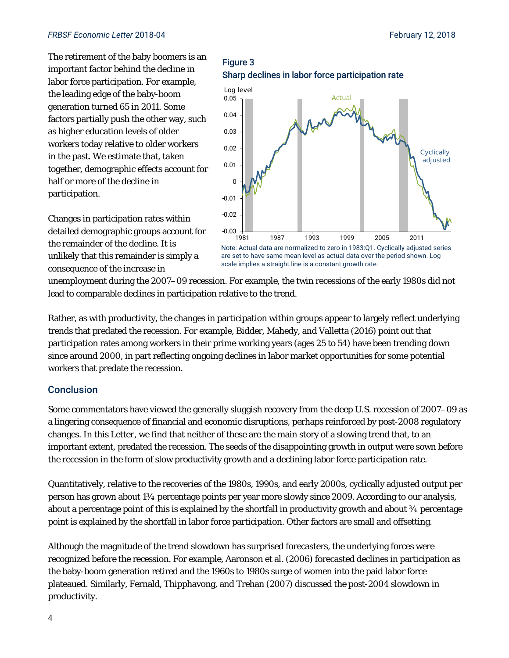#### *FRBSF Economic Letter* 2018-04 February 12, 2018

The retirement of the baby boomers is an important factor behind the decline in labor force participation. For example, the leading edge of the baby-boom generation turned 65 in 2011. Some factors partially push the other way, such as higher education levels of older workers today relative to older workers in the past. We estimate that, taken together, demographic effects account for half or more of the decline in participation.

Changes in participation rates within detailed demographic groups account for the remainder of the decline. It is unlikely that this remainder is simply a consequence of the increase in

Sharp declines in labor force participation rate 0.05 Log level Actual



are set to have same mean level as actual data over the period shown. Log scale implies a straight line is a constant growth rate.

unemployment during the 2007–09 recession. For example, the twin recessions of the early 1980s did not lead to comparable declines in participation relative to the trend.

Figure 3

Rather, as with productivity, the changes in participation within groups appear to largely reflect underlying trends that predated the recession. For example, Bidder, Mahedy, and Valletta (2016) point out that participation rates among workers in their prime working years (ages 25 to 54) have been trending down since around 2000, in part reflecting ongoing declines in labor market opportunities for some potential workers that predate the recession.

#### Conclusion

Some commentators have viewed the generally sluggish recovery from the deep U.S. recession of 2007–09 as a lingering consequence of financial and economic disruptions, perhaps reinforced by post-2008 regulatory changes. In this *Letter*, we find that neither of these are the main story of a slowing trend that, to an important extent, predated the recession. The seeds of the disappointing growth in output were sown before the recession in the form of slow productivity growth and a declining labor force participation rate.

Quantitatively, relative to the recoveries of the 1980s, 1990s, and early 2000s, cyclically adjusted output per person has grown about 1¾ percentage points per year more slowly since 2009. According to our analysis, about a percentage point of this is explained by the shortfall in productivity growth and about  $\frac{3}{4}$  percentage point is explained by the shortfall in labor force participation. Other factors are small and offsetting.

Although the magnitude of the trend slowdown has surprised forecasters, the underlying forces were recognized before the recession. For example, Aaronson et al. (2006) forecasted declines in participation as the baby-boom generation retired and the 1960s to 1980s surge of women into the paid labor force plateaued. Similarly, Fernald, Thipphavong, and Trehan (2007) discussed the post-2004 slowdown in productivity.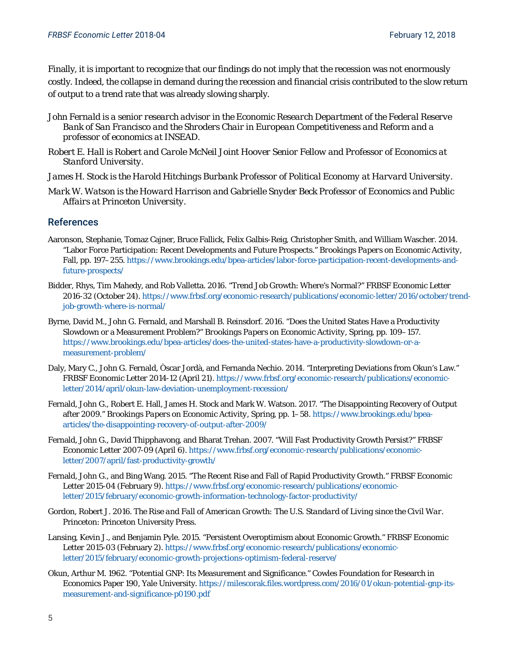Finally, it is important to recognize that our findings do *not* imply that the recession was not enormously costly. Indeed, the collapse in demand during the recession and financial crisis contributed to the slow return of output to a trend rate that was already slowing sharply.

- *John Fernald is a senior research advisor in the Economic Research Department of the Federal Reserve Bank of San Francisco and the Shroders Chair in European Competitiveness and Reform and a professor of economics at INSEAD.*
- *Robert E. Hall is Robert and Carole McNeil Joint Hoover Senior Fellow and Professor of Economics at Stanford University.*
- *James H. Stock is the Harold Hitchings Burbank Professor of Political Economy at Harvard University.*
- *Mark W. Watson is the Howard Harrison and Gabrielle Snyder Beck Professor of Economics and Public Affairs at Princeton University.*

#### References

- Aaronson, Stephanie, Tomaz Cajner, Bruce Fallick, Felix Galbis-Reig, Christopher Smith, and William Wascher. 2014. "Labor Force Participation: Recent Developments and Future Prospects." *Brookings Papers on Economic Activity*, Fall, pp. 197–255. https://www.brookings.edu/bpea-articles/labor-force-participation-recent-developments-andfuture-prospects/
- Bidder, Rhys, Tim Mahedy, and Rob Valletta. 2016. "Trend Job Growth: Where's Normal?" *FRBSF Economic Letter* 2016-32 (October 24). https://www.frbsf.org/economic-research/publications/economic-letter/2016/october/trendjob-growth-where-is-normal/
- Byrne, David M., John G. Fernald, and Marshall B. Reinsdorf. 2016. "Does the United States Have a Productivity Slowdown or a Measurement Problem?" *Brookings Papers on Economic Activity*, Spring, pp. 109–157. https://www.brookings.edu/bpea-articles/does-the-united-states-have-a-productivity-slowdown-or-ameasurement-problem/
- Daly, Mary C., John G. Fernald, Òscar Jordà, and Fernanda Nechio. 2014. "Interpreting Deviations from Okun's Law." *FRBSF Economic Letter* 2014-12 (April 21). https://www.frbsf.org/economic-research/publications/economicletter/2014/april/okun-law-deviation-unemployment-recession/
- Fernald, John G., Robert E. Hall, James H. Stock and Mark W. Watson. 2017. "The Disappointing Recovery of Output after 2009." *Brookings Papers on Economic Activity*, Spring, pp. 1–58. https://www.brookings.edu/bpeaarticles/the-disappointing-recovery-of-output-after-2009/
- Fernald, John G., David Thipphavong, and Bharat Trehan. 2007. "Will Fast Productivity Growth Persist?" *FRBSF Economic Letter* 2007-09 (April 6). https://www.frbsf.org/economic-research/publications/economicletter/2007/april/fast-productivity-growth/
- Fernald, John G., and Bing Wang. 2015. "The Recent Rise and Fall of Rapid Productivity Growth." *FRBSF Economic Letter* 2015-04 (February 9). https://www.frbsf.org/economic-research/publications/economicletter/2015/february/economic-growth-information-technology-factor-productivity/
- Gordon, Robert J. 2016. *The Rise and Fall of American Growth: The U.S. Standard of Living since the Civil War*. Princeton: Princeton University Press.
- Lansing, Kevin J., and Benjamin Pyle. 2015. "Persistent Overoptimism about Economic Growth." *FRBSF Economic Letter* 2015-03 (February 2). https://www.frbsf.org/economic-research/publications/economicletter/2015/february/economic-growth-projections-optimism-federal-reserve/
- Okun, Arthur M. 1962. "Potential GNP: Its Measurement and Significance." Cowles Foundation for Research in Economics Paper 190, Yale University. https://milescorak.files.wordpress.com/2016/01/okun-potential-gnp-itsmeasurement-and-significance-p0190.pdf